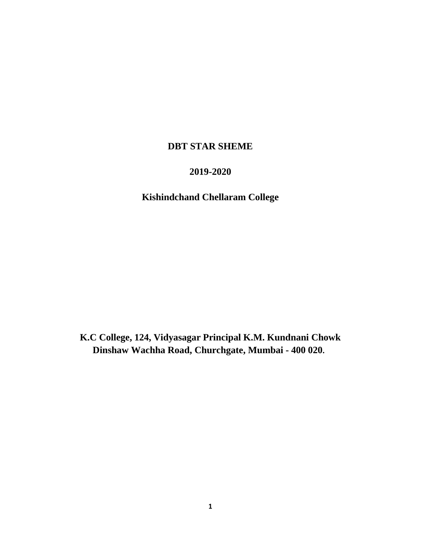## **DBT STAR SHEME**

# **2019-2020**

# **Kishindchand Chellaram College**

**K.C College, 124, Vidyasagar Principal K.M. Kundnani Chowk Dinshaw Wachha Road, Churchgate, Mumbai - 400 020.**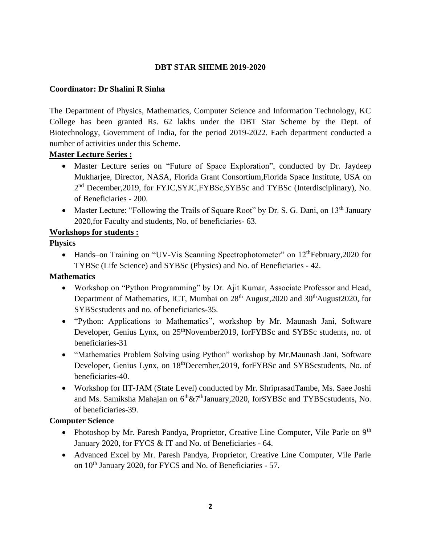#### **DBT STAR SHEME 2019-2020**

#### **Coordinator: Dr Shalini R Sinha**

The Department of Physics, Mathematics, Computer Science and Information Technology, KC College has been granted Rs. 62 lakhs under the DBT Star Scheme by the Dept. of Biotechnology, Government of India, for the period 2019-2022. Each department conducted a number of activities under this Scheme.

#### **Master Lecture Series :**

- Master Lecture series on "Future of Space Exploration", conducted by Dr. Jaydeep Mukharjee, Director, NASA, Florida Grant Consortium,Florida Space Institute, USA on 2<sup>nd</sup> December, 2019, for FYJC, SYJC, FYBSc, SYBSc and TYBSc (Interdisciplinary), No. of Beneficiaries - 200.
- Master Lecture: "Following the Trails of Square Root" by Dr. S. G. Dani, on  $13<sup>th</sup>$  January 2020,for Faculty and students, No. of beneficiaries- 63.

#### **Workshops for students :**

#### **Physics**

• Hands–on Training on "UV-Vis Scanning Spectrophotometer" on 12<sup>th</sup>February, 2020 for TYBSc (Life Science) and SYBSc (Physics) and No. of Beneficiaries - 42.

#### **Mathematics**

- Workshop on "Python Programming" by Dr. Ajit Kumar, Associate Professor and Head, Department of Mathematics, ICT, Mumbai on 28<sup>th</sup> August,2020 and 30<sup>th</sup>August2020, for SYBScstudents and no. of beneficiaries-35.
- "Python: Applications to Mathematics", workshop by Mr. Maunash Jani, Software Developer, Genius Lynx, on 25<sup>th</sup>November2019, forFYBSc and SYBSc students, no. of beneficiaries-31
- "Mathematics Problem Solving using Python" workshop by Mr.Maunash Jani, Software Developer, Genius Lynx, on 18thDecember,2019, forFYBSc and SYBScstudents, No. of beneficiaries-40.
- Workshop for IIT-JAM (State Level) conducted by Mr. ShriprasadTambe, Ms. Saee Joshi and Ms. Samiksha Mahajan on 6<sup>th</sup>&7<sup>th</sup>January,2020, forSYBSc and TYBScstudents, No. of beneficiaries-39.

#### **Computer Science**

- Photoshop by Mr. Paresh Pandya, Proprietor, Creative Line Computer, Vile Parle on 9<sup>th</sup> January 2020, for FYCS & IT and No. of Beneficiaries - 64.
- Advanced Excel by Mr. Paresh Pandya, Proprietor, Creative Line Computer, Vile Parle on 10<sup>th</sup> January 2020, for FYCS and No. of Beneficiaries - 57.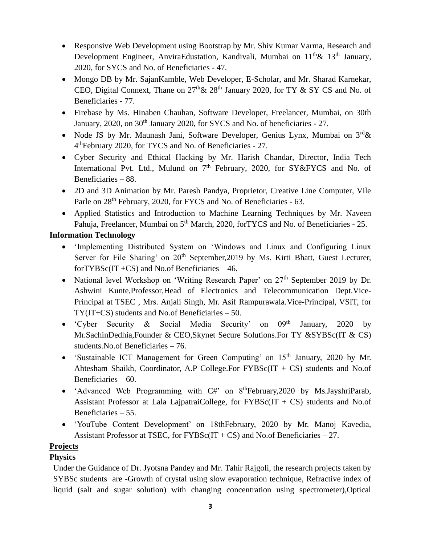- Responsive Web Development using Bootstrap by Mr. Shiv Kumar Varma, Research and Development Engineer, AnviraEdustation, Kandivali, Mumbai on  $11<sup>th</sup> \& 13<sup>th</sup>$  January, 2020, for SYCS and No. of Beneficiaries - 47.
- Mongo DB by Mr. SajanKamble, Web Developer, E-Scholar, and Mr. Sharad Karnekar, CEO, Digital Connext, Thane on  $27<sup>th</sup> \& 28<sup>th</sup>$  January 2020, for TY  $\&$  SY CS and No. of Beneficiaries - 77.
- Firebase by Ms. Hinaben Chauhan, Software Developer, Freelancer, Mumbai, on 30th January, 2020, on 30<sup>th</sup> January 2020, for SYCS and No. of beneficiaries - 27.
- Node JS by Mr. Maunash Jani, Software Developer, Genius Lynx, Mumbai on  $3<sup>rd</sup> \&$ 4 thFebruary 2020, for TYCS and No. of Beneficiaries - 27.
- Cyber Security and Ethical Hacking by Mr. Harish Chandar, Director, India Tech International Pvt. Ltd., Mulund on  $7<sup>th</sup>$  February, 2020, for SY&FYCS and No. of Beneficiaries – 88.
- 2D and 3D Animation by Mr. Paresh Pandya, Proprietor, Creative Line Computer, Vile Parle on 28<sup>th</sup> February, 2020, for FYCS and No. of Beneficiaries - 63.
- Applied Statistics and Introduction to Machine Learning Techniques by Mr. Naveen Pahuja, Freelancer, Mumbai on 5<sup>th</sup> March, 2020, forTYCS and No. of Beneficiaries - 25.

## **Information Technology**

- 'Implementing Distributed System on 'Windows and Linux and Configuring Linux Server for File Sharing' on 20<sup>th</sup> September, 2019 by Ms. Kirti Bhatt, Guest Lecturer, for $TYBSc(T + CS)$  and No.of Beneficiaries  $-46$ .
- National level Workshop on 'Writing Research Paper' on 27<sup>th</sup> September 2019 by Dr. Ashwini Kunte,Professor,Head of Electronics and Telecommunication Dept.Vice-Principal at TSEC , Mrs. Anjali Singh, Mr. Asif Rampurawala.Vice-Principal, VSIT, for TY(IT+CS) students and No.of Beneficiaries – 50.
- 'Cyber Security & Social Media Security' on  $0.9<sup>th</sup>$  January, 2020 by Mr.SachinDedhia,Founder & CEO,Skynet Secure Solutions.For TY &SYBSc(IT & CS) students.No.of Beneficiaries – 76.
- 'Sustainable ICT Management for Green Computing' on  $15<sup>th</sup>$  January, 2020 by Mr. Ahtesham Shaikh, Coordinator, A.P College.For FYBSc(IT + CS) students and No.of Beneficiaries – 60.
- 'Advanced Web Programming with  $C#$ ' on  $8^{th}$ February, 2020 by Ms. JayshriParab, Assistant Professor at Lala LajpatraiCollege, for  $FYBSc(IT + CS)$  students and No.of Beneficiaries – 55.
- 'YouTube Content Development' on 18thFebruary, 2020 by Mr. Manoj Kavedia, Assistant Professor at TSEC, for  $FYBSc(IT + CS)$  and No.of Beneficiaries – 27.

## **Projects**

## **Physics**

Under the Guidance of Dr. Jyotsna Pandey and Mr. Tahir Rajgoli, the research projects taken by SYBSc students are -Growth of crystal using slow evaporation technique, Refractive index of liquid (salt and sugar solution) with changing concentration using spectrometer),Optical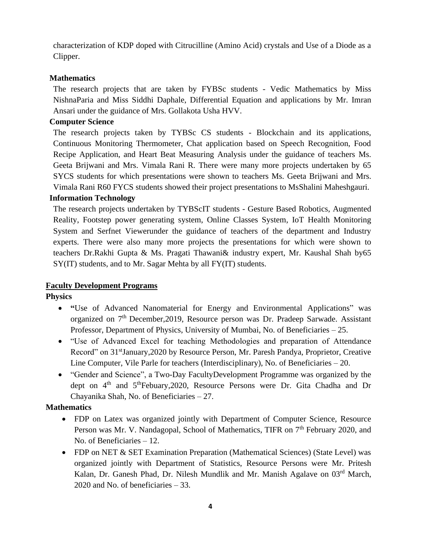characterization of KDP doped with Citrucilline (Amino Acid) crystals and Use of a Diode as a Clipper.

#### **Mathematics**

The research projects that are taken by FYBSc students - Vedic Mathematics by Miss NishnaParia and Miss Siddhi Daphale, Differential Equation and applications by Mr. Imran Ansari under the guidance of Mrs. Gollakota Usha HVV.

#### **Computer Science**

The research projects taken by TYBSc CS students - Blockchain and its applications, Continuous Monitoring Thermometer, Chat application based on Speech Recognition, Food Recipe Application, and Heart Beat Measuring Analysis under the guidance of teachers Ms. Geeta Brijwani and Mrs. Vimala Rani R. There were many more projects undertaken by 65 SYCS students for which presentations were shown to teachers Ms. Geeta Brijwani and Mrs. Vimala Rani R60 FYCS students showed their project presentations to MsShalini Maheshgauri.

#### **Information Technology**

The research projects undertaken by TYBScIT students - Gesture Based Robotics, Augmented Reality, Footstep power generating system, Online Classes System, IoT Health Monitoring System and Serfnet Viewerunder the guidance of teachers of the department and Industry experts. There were also many more projects the presentations for which were shown to teachers Dr.Rakhi Gupta & Ms. Pragati Thawani& industry expert, Mr. Kaushal Shah by65 SY(IT) students, and to Mr. Sagar Mehta by all FY(IT) students.

#### **Faculty Development Programs**

#### **Physics**

- **"**Use of Advanced Nanomaterial for Energy and Environmental Applications" was organized on 7<sup>th</sup> December, 2019, Resource person was Dr. Pradeep Sarwade. Assistant Professor, Department of Physics, University of Mumbai, No. of Beneficiaries – 25.
- "Use of Advanced Excel for teaching Methodologies and preparation of Attendance Record" on 31<sup>st</sup>January, 2020 by Resource Person, Mr. Paresh Pandya, Proprietor, Creative Line Computer, Vile Parle for teachers (Interdisciplinary), No. of Beneficiaries – 20.
- "Gender and Science", a Two-Day FacultyDevelopment Programme was organized by the dept on  $4<sup>th</sup>$  and  $5<sup>th</sup>$ Febuary, 2020, Resource Persons were Dr. Gita Chadha and Dr Chayanika Shah, No. of Beneficiaries – 27.

#### **Mathematics**

- FDP on Latex was organized jointly with Department of Computer Science, Resource Person was Mr. V. Nandagopal, School of Mathematics, TIFR on 7<sup>th</sup> February 2020, and No. of Beneficiaries – 12.
- FDP on NET & SET Examination Preparation (Mathematical Sciences) (State Level) was organized jointly with Department of Statistics, Resource Persons were Mr. Pritesh Kalan, Dr. Ganesh Phad, Dr. Nilesh Mundlik and Mr. Manish Agalave on 03<sup>rd</sup> March, 2020 and No. of beneficiaries – 33.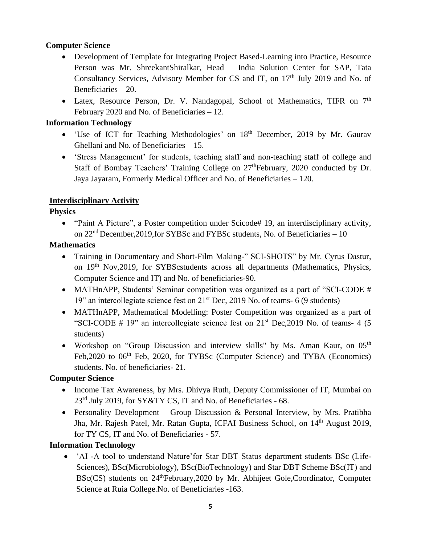## **Computer Science**

- Development of Template for Integrating Project Based-Learning into Practice, Resource Person was Mr. ShreekantShiralkar, Head – India Solution Center for SAP, Tata Consultancy Services, Advisory Member for CS and IT, on  $17<sup>th</sup>$  July 2019 and No. of Beneficiaries – 20.
- Latex, Resource Person, Dr. V. Nandagopal, School of Mathematics, TIFR on  $7<sup>th</sup>$ February 2020 and No. of Beneficiaries – 12.

### **Information Technology**

- 'Use of ICT for Teaching Methodologies' on 18<sup>th</sup> December, 2019 by Mr. Gaurav Ghellani and No. of Beneficiaries – 15.
- 'Stress Management' for students, teaching staff and non-teaching staff of college and Staff of Bombay Teachers' Training College on 27<sup>th</sup>February, 2020 conducted by Dr. Jaya Jayaram, Formerly Medical Officer and No. of Beneficiaries – 120.

### **Interdisciplinary Activity**

### **Physics**

• "Paint A Picture", a Poster competition under Scicode# 19, an interdisciplinary activity, on  $22<sup>nd</sup>$  December, 2019, for SYBSc and FYBSc students, No. of Beneficiaries – 10

### **Mathematics**

- Training in Documentary and Short-Film Making-" SCI-SHOTS" by Mr. Cyrus Dastur, on 19th Nov,2019, for SYBScstudents across all departments (Mathematics, Physics, Computer Science and IT) and No. of beneficiaries-90.
- MATHnAPP, Students' Seminar competition was organized as a part of "SCI-CODE # 19" an intercollegiate science fest on 21st Dec, 2019 No. of teams- 6 (9 students)
- MATHnAPP, Mathematical Modelling: Poster Competition was organized as a part of "SCI-CODE  $# 19$ " an intercollegiate science fest on  $21<sup>st</sup>$  Dec, 2019 No. of teams- 4 (5) students)
- Workshop on "Group Discussion and interview skills" by Ms. Aman Kaur, on 05<sup>th</sup> Feb, 2020 to 06<sup>th</sup> Feb, 2020, for TYBSc (Computer Science) and TYBA (Economics) students. No. of beneficiaries- 21.

## **Computer Science**

- Income Tax Awareness, by Mrs. Dhivya Ruth, Deputy Commissioner of IT, Mumbai on 23rd July 2019, for SY&TY CS, IT and No. of Beneficiaries - 68.
- Personality Development Group Discussion & Personal Interview, by Mrs. Pratibha Jha, Mr. Rajesh Patel, Mr. Ratan Gupta, ICFAI Business School, on 14<sup>th</sup> August 2019, for TY CS, IT and No. of Beneficiaries - 57.

#### **Information Technology**

• 'AI -A tool to understand Nature' for Star DBT Status department students BSc (Life-Sciences), BSc(Microbiology), BSc(BioTechnology) and Star DBT Scheme BSc(IT) and BSc(CS) students on 24<sup>th</sup>February, 2020 by Mr. Abhijeet Gole, Coordinator, Computer Science at Ruia College.No. of Beneficiaries -163.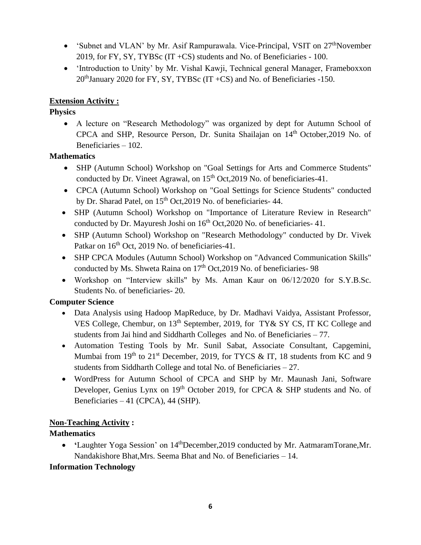- 'Subnet and VLAN' by Mr. Asif Rampurawala. Vice-Principal, VSIT on  $27<sup>th</sup>$ November 2019, for FY, SY, TYBSc (IT +CS) students and No. of Beneficiaries - 100.
- 'Introduction to Unity' by Mr. Vishal Kawji, Technical general Manager, Frameboxxon  $20<sup>th</sup>$  January 2020 for FY, SY, TYBSc (IT +CS) and No. of Beneficiaries -150.

## **Extension Activity :**

## **Physics**

• A lecture on "Research Methodology" was organized by dept for Autumn School of CPCA and SHP, Resource Person, Dr. Sunita Shailajan on 14<sup>th</sup> October, 2019 No. of Beneficiaries – 102.

## **Mathematics**

- SHP (Autumn School) Workshop on "Goal Settings for Arts and Commerce Students" conducted by Dr. Vineet Agrawal, on  $15<sup>th</sup>$  Oct, 2019 No. of beneficiaries-41.
- CPCA (Autumn School) Workshop on "Goal Settings for Science Students" conducted by Dr. Sharad Patel, on 15<sup>th</sup> Oct, 2019 No. of beneficiaries- 44.
- SHP (Autumn School) Workshop on "Importance of Literature Review in Research" conducted by Dr. Mayuresh Joshi on  $16<sup>th</sup>$  Oct, 2020 No. of beneficiaries- 41.
- SHP (Autumn School) Workshop on "Research Methodology" conducted by Dr. Vivek Patkar on  $16<sup>th</sup>$  Oct, 2019 No. of beneficiaries-41.
- SHP CPCA Modules (Autumn School) Workshop on "Advanced Communication Skills" conducted by Ms. Shweta Raina on 17<sup>th</sup> Oct, 2019 No. of beneficiaries- 98
- Workshop on "Interview skills" by Ms. Aman Kaur on 06/12/2020 for S.Y.B.Sc. Students No. of beneficiaries- 20.

## **Computer Science**

- Data Analysis using Hadoop MapReduce, by Dr. Madhavi Vaidya, Assistant Professor, VES College, Chembur, on 13<sup>th</sup> September, 2019, for TY& SY CS, IT KC College and students from Jai hind and Siddharth Colleges and No. of Beneficiaries – 77.
- Automation Testing Tools by Mr. Sunil Sabat, Associate Consultant, Capgemini, Mumbai from  $19<sup>th</sup>$  to  $21<sup>st</sup>$  December, 2019, for TYCS & IT, 18 students from KC and 9 students from Siddharth College and total No. of Beneficiaries – 27.
- WordPress for Autumn School of CPCA and SHP by Mr. Maunash Jani, Software Developer, Genius Lynx on 19<sup>th</sup> October 2019, for CPCA & SHP students and No. of Beneficiaries – 41 (CPCA), 44 (SHP).

## **Non-Teaching Activity :**

## **Mathematics**

• **'**Laughter Yoga Session' on 14thDecember,2019 conducted by Mr. AatmaramTorane,Mr. Nandakishore Bhat,Mrs. Seema Bhat and No. of Beneficiaries – 14.

## **Information Technology**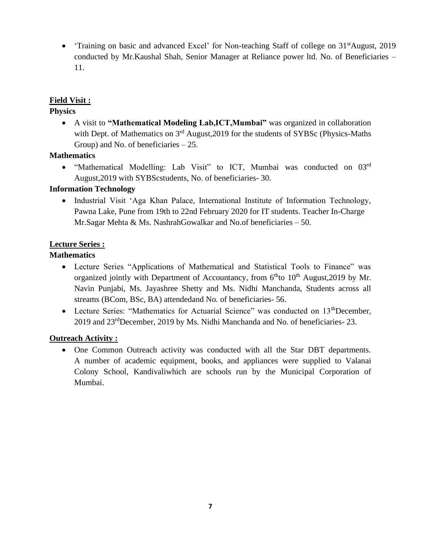• Training on basic and advanced Excel' for Non-teaching Staff of college on 31<sup>st</sup>August, 2019 conducted by Mr.Kaushal Shah, Senior Manager at Reliance power ltd. No. of Beneficiaries – 11.

### **Field Visit :**

### **Physics**

• A visit to **"Mathematical Modeling Lab,ICT,Mumbai"** was organized in collaboration with Dept. of Mathematics on  $3<sup>rd</sup>$  August, 2019 for the students of SYBSc (Physics-Maths Group) and No. of beneficiaries – 25.

### **Mathematics**

• "Mathematical Modelling: Lab Visit" to ICT, Mumbai was conducted on 03rd August,2019 with SYBScstudents, No. of beneficiaries- 30.

## **Information Technology**

• Industrial Visit 'Aga Khan Palace, International Institute of Information Technology, Pawna Lake, Pune from 19th to 22nd February 2020 for IT students. Teacher In-Charge Mr.Sagar Mehta & Ms. NashrahGowalkar and No.of beneficiaries – 50.

### **Lecture Series :**

### **Mathematics**

- Lecture Series "Applications of Mathematical and Statistical Tools to Finance" was organized jointly with Department of Accountancy, from  $6<sup>th</sup>$ to  $10<sup>th</sup>$  August, 2019 by Mr. Navin Punjabi, Ms. Jayashree Shetty and Ms. Nidhi Manchanda, Students across all streams (BCom, BSc, BA) attendedand No. of beneficiaries- 56.
- Lecture Series: "Mathematics for Actuarial Science" was conducted on 13<sup>th</sup>December, 2019 and 23rdDecember, 2019 by Ms. Nidhi Manchanda and No. of beneficiaries- 23.

#### **Outreach Activity :**

• One Common Outreach activity was conducted with all the Star DBT departments. A number of academic equipment, books, and appliances were supplied to Valanai Colony School, Kandivaliwhich are schools run by the Municipal Corporation of Mumbai.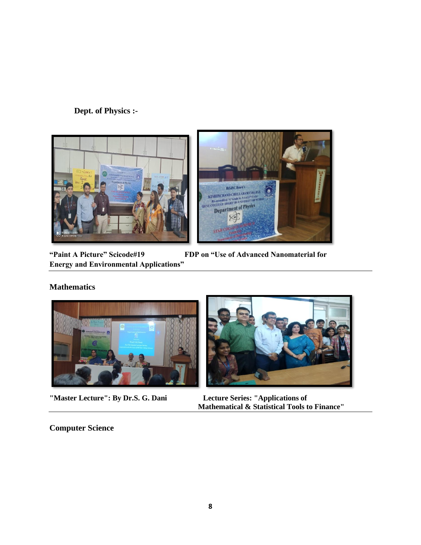## **Dept. of Physics :-**





**"Paint A Picture" Scicode#19 FDP on "Use of Advanced Nanomaterial for Energy and Environmental Applications"**

## **Mathematics**



**"Master Lecture": By Dr.S. G. Dani** 



**Mathematical & Statistical Tools to Finance"**

#### **Computer Science**